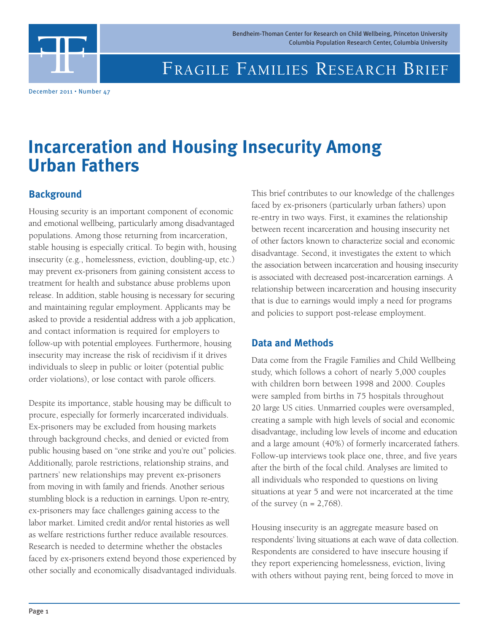

# FRAGILE FAMILIES RESEARCH BRIEF Bendheim-Thoman Center for Research on Child Wellbeing, Princeton University<br>Columbia Population Research Center, Columbia University<br>FRAGILE FAMILIES RESEARCH BRIEF

December 2011 • Number 47

## **Incarceration and Housing Insecurity Among Urban Fathers**

#### **Background**

Housing security is an important component of economic and emotional wellbeing, particularly among disadvantaged populations. Among those returning from incarceration, stable housing is especially critical. To begin with, housing insecurity (e.g., homelessness, eviction, doubling-up, etc.) may prevent ex-prisoners from gaining consistent access to treatment for health and substance abuse problems upon release. In addition, stable housing is necessary for securing and maintaining regular employment. Applicants may be asked to provide a residential address with a job application, and contact information is required for employers to follow-up with potential employees. Furthermore, housing insecurity may increase the risk of recidivism if it drives individuals to sleep in public or loiter (potential public order violations), or lose contact with parole officers.

Despite its importance, stable housing may be difficult to procure, especially for formerly incarcerated individuals. Ex-prisoners may be excluded from housing markets through background checks, and denied or evicted from public housing based on "one strike and you're out" policies. Additionally, parole restrictions, relationship strains, and partners' new relationships may prevent ex-prisoners from moving in with family and friends. Another serious stumbling block is a reduction in earnings. Upon re-entry, ex-prisoners may face challenges gaining access to the labor market. Limited credit and/or rental histories as well as welfare restrictions further reduce available resources. Research is needed to determine whether the obstacles faced by ex-prisoners extend beyond those experienced by other socially and economically disadvantaged individuals. This brief contributes to our knowledge of the challenges faced by ex-prisoners (particularly urban fathers) upon re-entry in two ways. First, it examines the relationship between recent incarceration and housing insecurity net of other factors known to characterize social and economic disadvantage. Second, it investigates the extent to which the association between incarceration and housing insecurity is associated with decreased post-incarceration earnings. A relationship between incarceration and housing insecurity that is due to earnings would imply a need for programs and policies to support post-release employment.

#### **Data and Methods**

Data come from the Fragile Families and Child Wellbeing study, which follows a cohort of nearly 5,000 couples with children born between 1998 and 2000. Couples were sampled from births in 75 hospitals throughout 20 large US cities. Unmarried couples were oversampled, creating a sample with high levels of social and economic disadvantage, including low levels of income and education and a large amount (40%) of formerly incarcerated fathers. Follow-up interviews took place one, three, and five years after the birth of the focal child. Analyses are limited to all individuals who responded to questions on living situations at year 5 and were not incarcerated at the time of the survey ( $n = 2,768$ ).

Housing insecurity is an aggregate measure based on respondents' living situations at each wave of data collection. Respondents are considered to have insecure housing if they report experiencing homelessness, eviction, living with others without paying rent, being forced to move in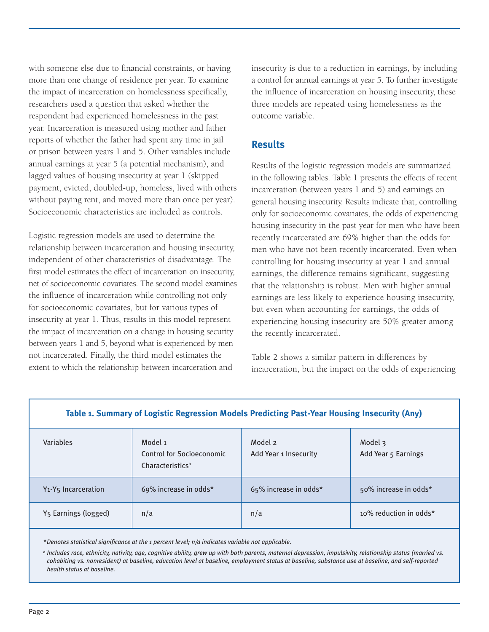with someone else due to financial constraints, or having more than one change of residence per year. To examine the impact of incarceration on homelessness specifically, researchers used a question that asked whether the respondent had experienced homelessness in the past year. Incarceration is measured using mother and father reports of whether the father had spent any time in jail or prison between years 1 and 5. Other variables include annual earnings at year 5 (a potential mechanism), and lagged values of housing insecurity at year 1 (skipped payment, evicted, doubled-up, homeless, lived with others without paying rent, and moved more than once per year). Socioeconomic characteristics are included as controls.

Logistic regression models are used to determine the relationship between incarceration and housing insecurity, independent of other characteristics of disadvantage. The first model estimates the effect of incarceration on insecurity, net of socioeconomic covariates. The second model examines the influence of incarceration while controlling not only for socioeconomic covariates, but for various types of insecurity at year 1. Thus, results in this model represent the impact of incarceration on a change in housing security between years 1 and 5, beyond what is experienced by men not incarcerated. Finally, the third model estimates the extent to which the relationship between incarceration and

insecurity is due to a reduction in earnings, by including a control for annual earnings at year 5. To further investigate the influence of incarceration on housing insecurity, these three models are repeated using homelessness as the outcome variable.

#### **Results**

Results of the logistic regression models are summarized in the following tables. Table 1 presents the effects of recent incarceration (between years 1 and 5) and earnings on general housing insecurity. Results indicate that, controlling only for socioeconomic covariates, the odds of experiencing housing insecurity in the past year for men who have been recently incarcerated are 69% higher than the odds for men who have not been recently incarcerated. Even when controlling for housing insecurity at year 1 and annual earnings, the difference remains significant, suggesting that the relationship is robust. Men with higher annual earnings are less likely to experience housing insecurity, but even when accounting for earnings, the odds of experiencing housing insecurity are 50% greater among the recently incarcerated.

Table 2 shows a similar pattern in differences by incarceration, but the impact on the odds of experiencing

|                                              |                                                                             |                                  | -<br>.                         |
|----------------------------------------------|-----------------------------------------------------------------------------|----------------------------------|--------------------------------|
| <b>Variables</b>                             | Model 1<br><b>Control for Socioeconomic</b><br>Characteristics <sup>a</sup> | Model 2<br>Add Year 1 Insecurity | Model 3<br>Add Year 5 Earnings |
| Y <sub>1</sub> -Y <sub>5</sub> Incarceration | 69% increase in odds*                                                       | 65% increase in odds*            | 50% increase in odds*          |
| Y5 Earnings (logged)                         | n/a                                                                         | n/a                              | 10% reduction in odds*         |

#### **Table 1. Summary of Logistic Regression Models Predicting Past-Year Housing Insecurity (Any)**

*\*Denotes statistical significance at the 1 percent level; n/a indicates variable not applicable.*

a Includes race, ethnicity, nativity, age, cognitive ability, grew up with both parents, maternal depression, impulsivity, relationship status (married vs. *cohabiting vs. nonresident) at baseline, education level at baseline, employment status at baseline, substance use at baseline, and self-reported health status at baseline.*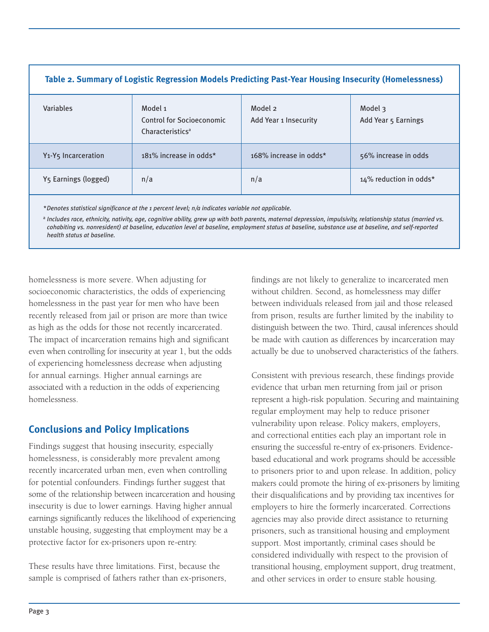| Table 2. Summary of Logistic Regression Models Predicting Past-Year Housing Insecurity (Homelessness) |                                                                      |                                  |                                |  |
|-------------------------------------------------------------------------------------------------------|----------------------------------------------------------------------|----------------------------------|--------------------------------|--|
| Variables                                                                                             | Model 1<br>Control for Socioeconomic<br>Characteristics <sup>a</sup> | Model 2<br>Add Year 1 Insecurity | Model 3<br>Add Year 5 Earnings |  |
| Y <sub>1</sub> -Y <sub>5</sub> Incarceration                                                          | 181% increase in odds*                                               | 168% increase in odds*           | 56% increase in odds           |  |
| Y5 Earnings (logged)                                                                                  | n/a                                                                  | n/a                              | 14% reduction in odds*         |  |
|                                                                                                       |                                                                      |                                  |                                |  |

*\*Denotes statistical significance at the 1 percent level; n/a indicates variable not applicable.*

a Includes race, ethnicity, nativity, age, cognitive ability, grew up with both parents, maternal depression, impulsivity, relationship status (married vs. *cohabiting vs. nonresident) at baseline, education level at baseline, employment status at baseline, substance use at baseline, and self-reported health status at baseline.*

homelessness is more severe. When adjusting for socioeconomic characteristics, the odds of experiencing homelessness in the past year for men who have been recently released from jail or prison are more than twice as high as the odds for those not recently incarcerated. The impact of incarceration remains high and significant even when controlling for insecurity at year 1, but the odds of experiencing homelessness decrease when adjusting for annual earnings. Higher annual earnings are associated with a reduction in the odds of experiencing homelessness.

### **Conclusions and Policy Implications**

Findings suggest that housing insecurity, especially homelessness, is considerably more prevalent among recently incarcerated urban men, even when controlling for potential confounders. Findings further suggest that some of the relationship between incarceration and housing insecurity is due to lower earnings. Having higher annual earnings significantly reduces the likelihood of experiencing unstable housing, suggesting that employment may be a protective factor for ex-prisoners upon re-entry.

These results have three limitations. First, because the sample is comprised of fathers rather than ex-prisoners,

findings are not likely to generalize to incarcerated men without children. Second, as homelessness may differ between individuals released from jail and those released from prison, results are further limited by the inability to distinguish between the two. Third, causal inferences should be made with caution as differences by incarceration may actually be due to unobserved characteristics of the fathers.

Consistent with previous research, these findings provide evidence that urban men returning from jail or prison represent a high-risk population. Securing and maintaining regular employment may help to reduce prisoner vulnerability upon release. Policy makers, employers, and correctional entities each play an important role in ensuring the successful re-entry of ex-prisoners. Evidencebased educational and work programs should be accessible to prisoners prior to and upon release. In addition, policy makers could promote the hiring of ex-prisoners by limiting their disqualifications and by providing tax incentives for employers to hire the formerly incarcerated. Corrections agencies may also provide direct assistance to returning prisoners, such as transitional housing and employment support. Most importantly, criminal cases should be considered individually with respect to the provision of transitional housing, employment support, drug treatment, and other services in order to ensure stable housing.